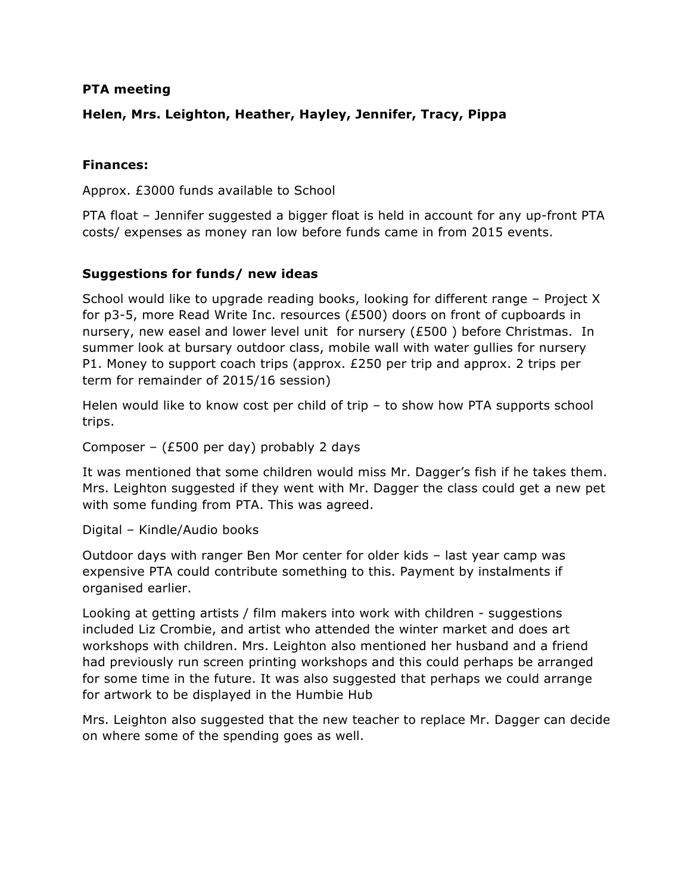#### **PTA meeting**

## **Helen, Mrs. Leighton, Heather, Hayley, Jennifer, Tracy, Pippa**

### **Finances:**

Approx. £3000 funds available to School

PTA float – Jennifer suggested a bigger float is held in account for any up-front PTA costs/ expenses as money ran low before funds came in from 2015 events.

#### **Suggestions for funds/ new ideas**

School would like to upgrade reading books, looking for different range – Project X for p3-5, more Read Write Inc. resources (£500) doors on front of cupboards in nursery, new easel and lower level unit for nursery (£500 ) before Christmas. In summer look at bursary outdoor class, mobile wall with water gullies for nursery P1. Money to support coach trips (approx. £250 per trip and approx. 2 trips per term for remainder of 2015/16 session)

Helen would like to know cost per child of trip – to show how PTA supports school trips.

Composer – (£500 per day) probably 2 days

It was mentioned that some children would miss Mr. Dagger's fish if he takes them. Mrs. Leighton suggested if they went with Mr. Dagger the class could get a new pet with some funding from PTA. This was agreed.

Digital – Kindle/Audio books

Outdoor days with ranger Ben Mor center for older kids – last year camp was expensive PTA could contribute something to this. Payment by instalments if organised earlier.

Looking at getting artists / film makers into work with children - suggestions included Liz Crombie, and artist who attended the winter market and does art workshops with children. Mrs. Leighton also mentioned her husband and a friend had previously run screen printing workshops and this could perhaps be arranged for some time in the future. It was also suggested that perhaps we could arrange for artwork to be displayed in the Humbie Hub

Mrs. Leighton also suggested that the new teacher to replace Mr. Dagger can decide on where some of the spending goes as well.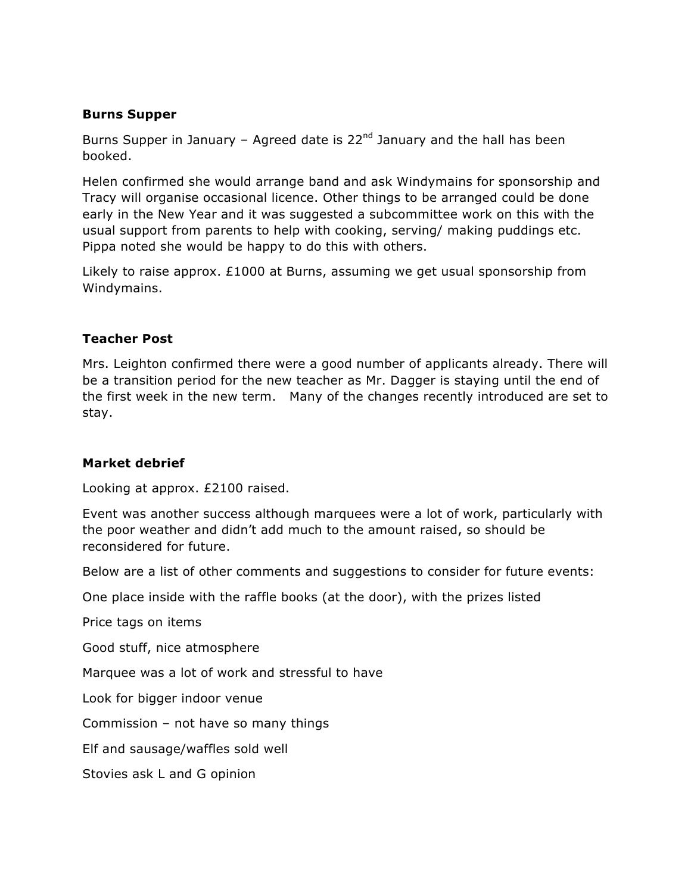### **Burns Supper**

Burns Supper in January – Agreed date is  $22<sup>nd</sup>$  January and the hall has been booked.

Helen confirmed she would arrange band and ask Windymains for sponsorship and Tracy will organise occasional licence. Other things to be arranged could be done early in the New Year and it was suggested a subcommittee work on this with the usual support from parents to help with cooking, serving/ making puddings etc. Pippa noted she would be happy to do this with others.

Likely to raise approx. £1000 at Burns, assuming we get usual sponsorship from Windymains.

#### **Teacher Post**

Mrs. Leighton confirmed there were a good number of applicants already. There will be a transition period for the new teacher as Mr. Dagger is staying until the end of the first week in the new term. Many of the changes recently introduced are set to stay.

#### **Market debrief**

Looking at approx. £2100 raised.

Event was another success although marquees were a lot of work, particularly with the poor weather and didn't add much to the amount raised, so should be reconsidered for future.

Below are a list of other comments and suggestions to consider for future events:

One place inside with the raffle books (at the door), with the prizes listed

Price tags on items

Good stuff, nice atmosphere

Marquee was a lot of work and stressful to have

Look for bigger indoor venue

Commission – not have so many things

Elf and sausage/waffles sold well

Stovies ask L and G opinion